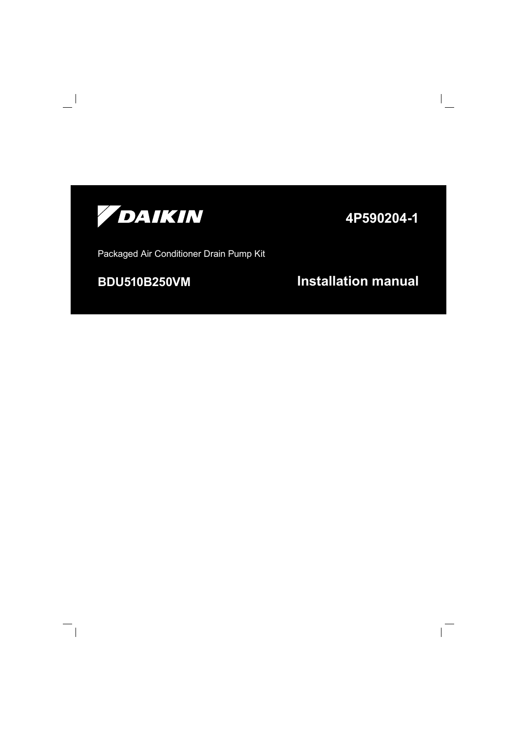

**4P590204-1**

Packaged Air Conditioner Drain Pump Kit

# **BDU510B250VM**

**Installation manual**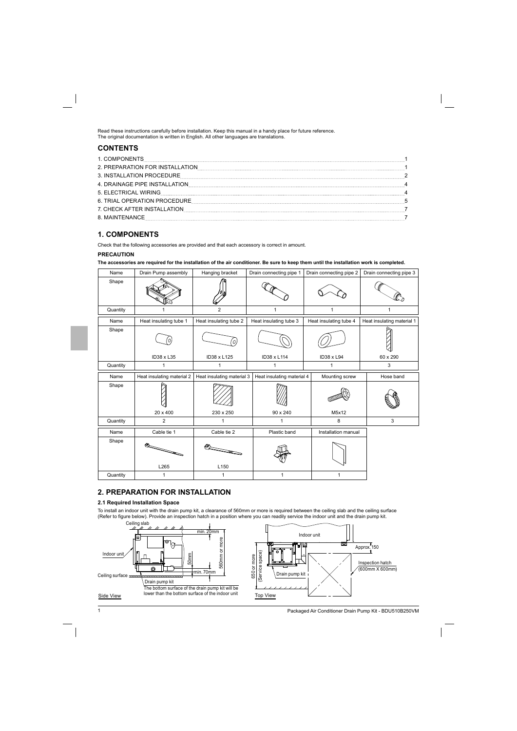Read these instructions carefully before installation. Keep this manual in a handy place for future reference. The original documentation is written in English. All other languages are translations.

### **CONTENTS**

| 1. COMPONENTS                    |  |
|----------------------------------|--|
| 2. PREPARATION FOR INSTALLATION. |  |
| 3. INSTALLATION PROCEDURE        |  |
| 4. DRAINAGE PIPE INSTALLATION    |  |
| 5. ELECTRICAL WIRING             |  |
|                                  |  |
| 7. CHECK AFTER INSTALLATION      |  |
| 8. MAINTENANCE                   |  |
|                                  |  |

# **1. COMPONENTS**

Check that the following accessories are provided and that each accessory is correct in amount.

### **PRECAUTION**

**The accessories are required for the installation of the air conditioner. Be sure to keep them until the installation work is completed.**

| Name     | Drain Pump assembly        | Hanging bracket            | Drain connecting pipe 1    | Drain connecting pipe 2 | Drain connecting pipe 3    |  |  |
|----------|----------------------------|----------------------------|----------------------------|-------------------------|----------------------------|--|--|
| Shape    |                            |                            |                            |                         |                            |  |  |
| Quantity |                            | $\overline{2}$             | 1                          | 1                       |                            |  |  |
| Name     | Heat insulating tube 1     | Heat insulating tube 2     | Heat insulating tube 3     | Heat insulating tube 4  | Heat insulating material 1 |  |  |
| Shape    |                            | 'oi                        |                            |                         |                            |  |  |
|          | ID38 x L35                 | ID38 x L125                | ID38 x L114                | ID38 x L94              | 60 x 290                   |  |  |
| Quantity | 1                          | 1                          | 1                          | 1                       | 3                          |  |  |
| Name     | Heat insulating material 2 | Heat insulating material 3 | Heat insulating material 4 | Mounting screw          | Hose band                  |  |  |
| Shape    |                            |                            |                            |                         |                            |  |  |
|          | 20 x 400                   | 230 x 250                  | 90 x 240                   | M5x12                   |                            |  |  |
| Quantity | 2                          | 1                          | 1                          | 8                       | 3                          |  |  |
| Name     | Cable tie 1                | Cable tie 2                | Plastic band               | Installation manual     |                            |  |  |
| Shape    |                            | $\overline{\phantom{a}}$   |                            |                         |                            |  |  |
| Quantity | L265<br>1                  | L150<br>1                  |                            |                         |                            |  |  |
|          |                            |                            |                            |                         |                            |  |  |

# **2. PREPARATION FOR INSTALLATION**

### **2.1 Required Installation Space**

To install an indoor unit with the drain pump kit, a clearance of 560mm or more is required between the ceiling slab and the ceiling surface (Refer to figure below). Provide an inspection hatch in a position where you can readily service the indoor unit and the drain pump kit.

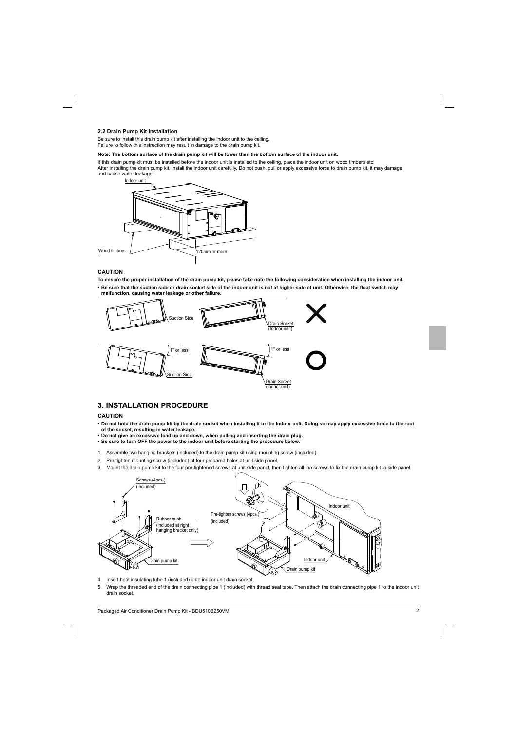#### **2.2 Drain Pump Kit Installation**

Be sure to install this drain pump kit after installing the indoor unit to the ceiling. Failure to follow this instruction may result in damage to the drain pump kit.

#### **Note: The bottom surface of the drain pump kit will be lower than the bottom surface of the indoor unit.**

If this drain pump kit must be installed before the indoor unit is installed to the ceiling, place the indoor unit on wood timbers etc. After installing the drain pump kit, install the indoor unit carefully. Do not push, pull or apply excessive force to drain pump kit, it may damage and cause water leakage.



#### **CAUTION**

**To ensure the proper installation of the drain pump kit, please take note the following consideration when installing the indoor unit.**

• Be sure that the suction side or drain socket side of the indoor unit is not at higher side of unit. Otherwise, the float switch may  **malfunction, causing water leakage or other failure.**



### **3. INSTALLATION PROCEDURE**

### **CAUTION**

- **Do not hold the drain pump kit by the drain socket when installing it to the indoor unit. Doing so may apply excessive force to the root of the socket, resulting in water leakage.**
- **Do not give an excessive load up and down, when pulling and inserting the drain plug.**
- **Be sure to turn OFF the power to the indoor unit before starting the procedure below.**
- 1. Assemble two hanging brackets (included) to the drain pump kit using mounting screw (included).
- 2. Pre-tighten mounting screw (included) at four prepared holes at unit side panel.
- 3. Mount the drain pump kit to the four pre-tightened screws at unit side panel, then tighten all the screws to fix the drain pump kit to side panel.



- 4. Insert heat insulating tube 1 (included) onto indoor unit drain socket.
- 5. Wrap the threaded end of the drain connecting pipe 1 (included) with thread seal tape. Then attach the drain connecting pipe 1 to the indoor unit drain socket.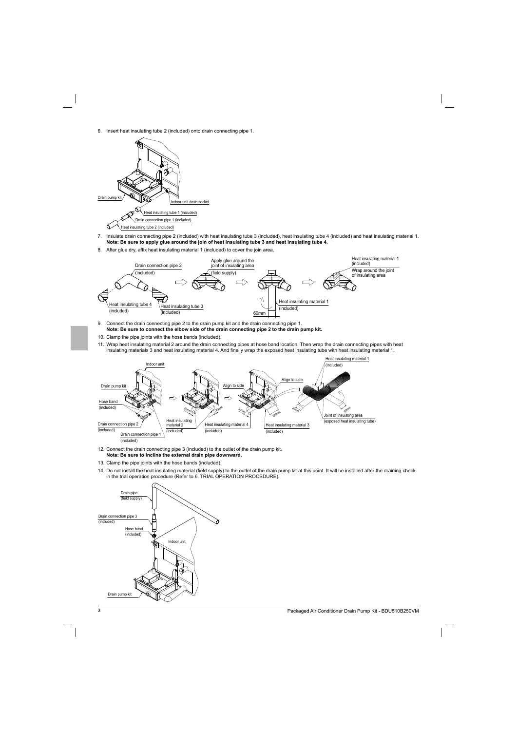6. Insert heat insulating tube 2 (included) onto drain connecting pipe 1.



- 7. Insulate drain connecting pipe 2 (included) with heat insulating tube 3 (included), heat insulating tube 4 (included) and heat insulating material 1. **Note: Be sure to apply glue around the join of heat insulating tube 3 and heat insulating tube 4.**
- 8. After glue dry, affix heat insulating material 1 (included) to cover the join area.



- 9. Connect the drain connecting pipe 2 to the drain pump kit and the drain connecting pipe 1. **Note: Be sure to connect the elbow side of the drain connecting pipe 2 to the drain pump kit.**
- 10. Clamp the pipe joints with the hose bands (included).
- 11. Wrap heat insulating material 2 around the drain connecting pipes at hose band location. Then wrap the drain connecting pipes with heat insulating materials 3 and heat insulating material 4. And finally wrap the exposed heat insulating tube with heat insulating material 1.



- 12. Connect the drain connecting pipe 3 (included) to the outlet of the drain pump kit. **Note: Be sure to incline the external drain pipe downward.**
- 13. Clamp the pipe joints with the hose bands (included).
- 14. Do not install the heat insulating material (field supply) to the outlet of the drain pump kit at this point. It will be installed after the draining check in the trial operation procedure (Refer to 6. TRIAL OPERATION PROCEDURE).

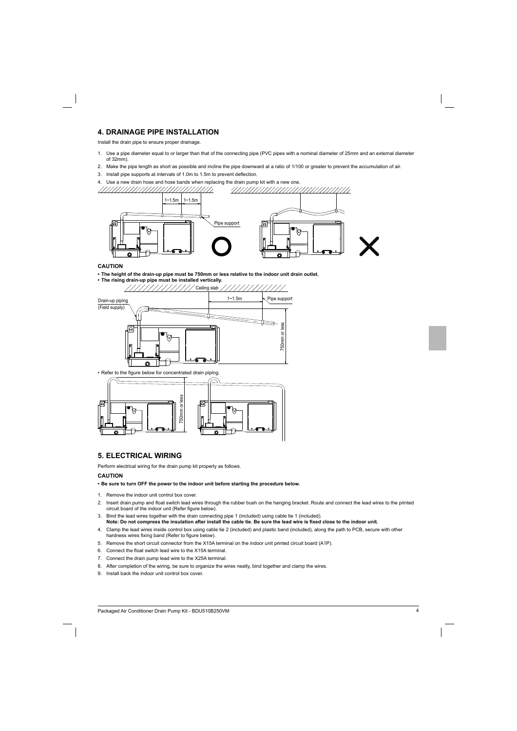# **4. DRAINAGE PIPE INSTALLATION**

Install the drain pipe to ensure proper drainage.

- 1. Use a pipe diameter equal to or larger than that of the connecting pipe (PVC pipes with a nominal diameter of 25mm and an external diameter of 32mm).
- 2. Make the pipe length as short as possible and incline the pipe downward at a ratio of 1/100 or greater to prevent the accumulation of air.
- 3. Install pipe supports at intervals of 1.0m to 1.5m to prevent deflection.

4. Use a new drain hose and hose bands when replacing the drain pump kit with a new one.



### **CAUTION**

- **The height of the drain-up pipe must be 750mm or less relative to the indoor unit drain outlet.**
- **The rising drain-up pipe must be installed vertically.**



• Refer to the figure below for concentrated drain piping.



# **5. ELECTRICAL WIRING**

Perform electrical wiring for the drain pump kit properly as follows.

### **CAUTION**

**• Be sure to turn OFF the power to the indoor unit before starting the procedure below.**

- 1. Remove the indoor unit control box cover.
- 2. Insert drain pump and float switch lead wires through the rubber bush on the hanging bracket. Route and connect the lead wires to the printed circuit board of the indoor unit (Refer figure below).
- 3. Bind the lead wires together with the drain connecting pipe 1 (included) using cable tie 1 (included). Note: Do not compress the insulation after install the cable tie. Be sure the lead wire is fixed close to the indoor unit.
- 4. Clamp the lead wires inside control box using cable tie 2 (included) and plastic band (included), along the path to PCB, secure with other hardness wires fixing band (Refer to figure below).
- 5. Remove the short circuit connector from the X15A terminal on the indoor unit printed circuit board (A1P).
- 6. Connect the float switch lead wire to the X15A terminal
- 7. Connect the drain pump lead wire to the X25A terminal.
- 8. After completion of the wiring, be sure to organize the wires neatly, bind together and clamp the wires.
- 9. Install back the indoor unit control box cover.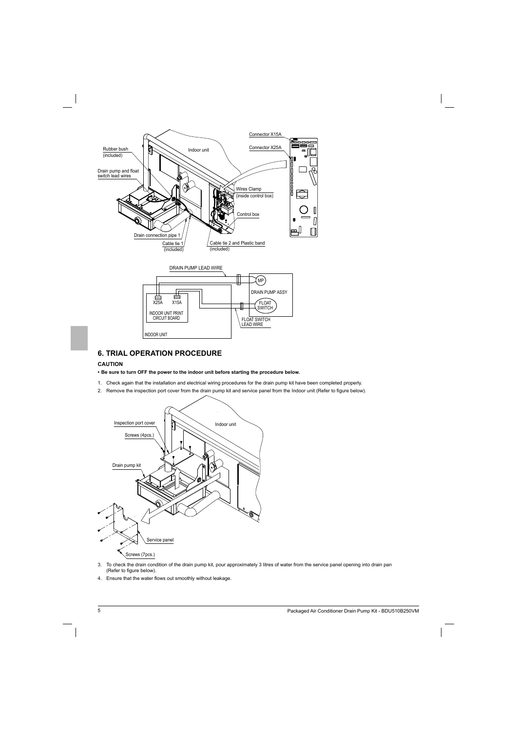

# **6. TRIAL OPERATION PROCEDURE**

### **CAUTION**

### **• Be sure to turn OFF the power to the indoor unit before starting the procedure below.**

- 1. Check again that the installation and electrical wiring procedures for the drain pump kit have been completed properly.
- 2. Remove the inspection port cover from the drain pump kit and service panel from the Indoor unit (Refer to figure below).



- 3. To check the drain condition of the drain pump kit, pour approximately 3 litres of water from the service panel opening into drain pan (Refer to figure below).
- 4. Ensure that the water flows out smoothly without leakage.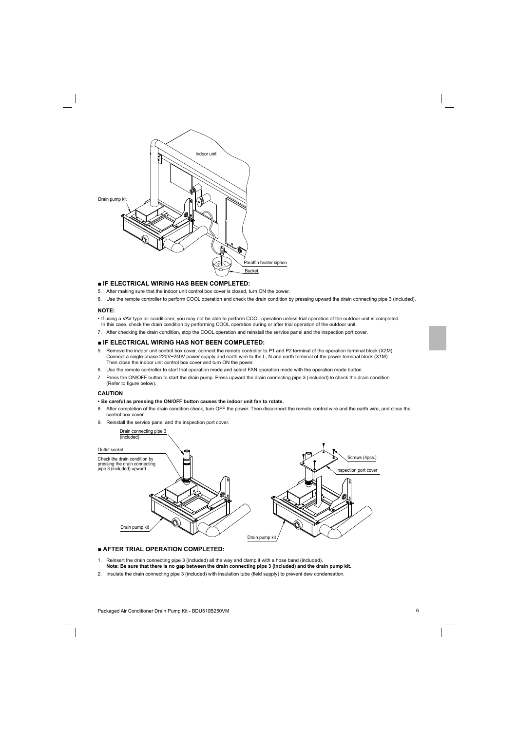

### ■ **IF ELECTRICAL WIRING HAS BEEN COMPLETED:**

- 5. After making sure that the indoor unit control box cover is closed, turn ON the power.
- 6. Use the remote controller to perform COOL operation and check the drain condition by pressing upward the drain connecting pipe 3 (included).

#### **NOTE:**

- If using a VAV type air conditioner, you may not be able to perform COOL operation unless trial operation of the outdoor unit is completed.
- In this case, check the drain condition by performing COOL operation during or after trial operation of the outdoor unit.
- 7. After checking the drain condition, stop the COOL operation and reinstall the service panel and the inspection port cover.

#### ■ **IF ELECTRICAL WIRING HAS NOT BEEN COMPLETED:**

- 5. Remove the indoor unit control box cover, connect the remote controller to P1 and P2 terminal of the operation terminal block (X2M). Connect a single-phase 220V~240V power supply and earth wire to the L, N and earth terminal of the power terminal block (X1M). Then close the indoor unit control box cover and turn ON the power.
- 6. Use the remote controller to start trial operation mode and select FAN operation mode with the operation mode button.
- 7. Press the ON/OFF button to start the drain pump. Press upward the drain connecting pipe 3 (included) to check the drain condition (Refer to figure below).

#### **CAUTION**

#### **• Be careful as pressing the ON/OFF button causes the indoor unit fan to rotate.**

- 8. After completion of the drain condition check, turn OFF the power. Then disconnect the remote control wire and the earth wire, and close the control box cover.
- 9. Reinstall the service panel and the inspection port cover.



### ■ **AFTER TRIAL OPERATION COMPLETED:**

- 1. Reinsert the drain connecting pipe 3 (included) all the way and clamp it with a hose band (included). **Note: Be sure that there is no gap between the drain connecting pipe 3 (included) and the drain pump kit.**
- 2. Insulate the drain connecting pipe 3 (included) with insulation tube (field supply) to prevent dew condensation.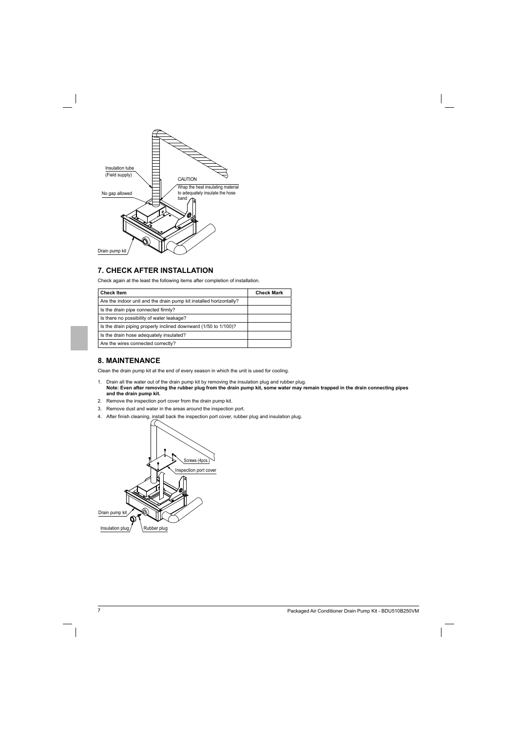

# **7. CHECK AFTER INSTALLATION**

Check again at the least the following items after completion of installation.

| <b>Check Item</b>                                                  | <b>Check Mark</b> |
|--------------------------------------------------------------------|-------------------|
| Are the indoor unit and the drain pump kit installed horizontally? |                   |
| Is the drain pipe connected firmly?                                |                   |
| Is there no possibility of water leakage?                          |                   |
| Is the drain piping properly inclined downward (1/50 to 1/100)?    |                   |
| Is the drain hose adequately insulated?                            |                   |
| Are the wires connected correctly?                                 |                   |

# **8. MAINTENANCE**

Clean the drain pump kit at the end of every season in which the unit is used for cooling.

- 1. Drain all the water out of the drain pump kit by removing the insulation plug and rubber plug. **Note: Even after removing the rubber plug from the drain pump kit, some water may remain trapped in the drain connecting pipes and the drain pump kit.**
- 2. Remove the inspection port cover from the drain pump kit.
- 3. Remove dust and water in the areas around the inspection port.
- 4. After finish cleaning, install back the inspection port cover, rubber plug and insulation plug.

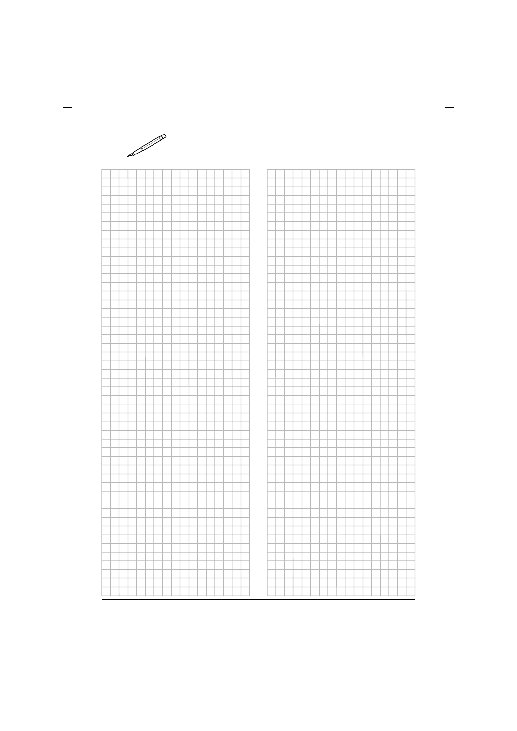

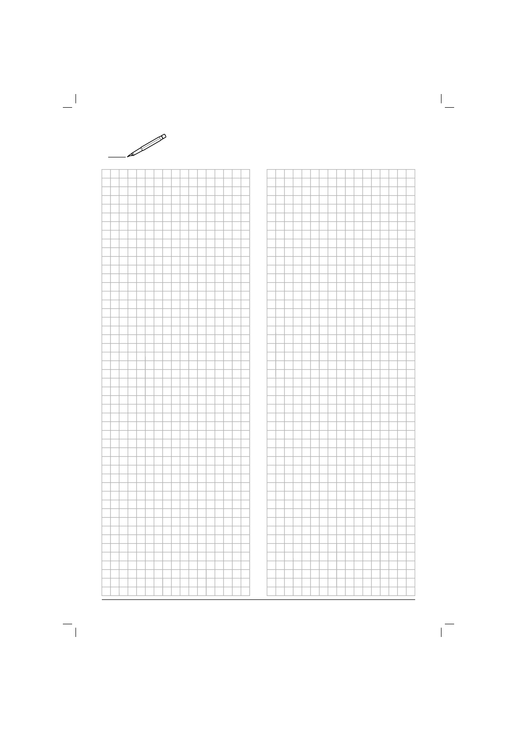

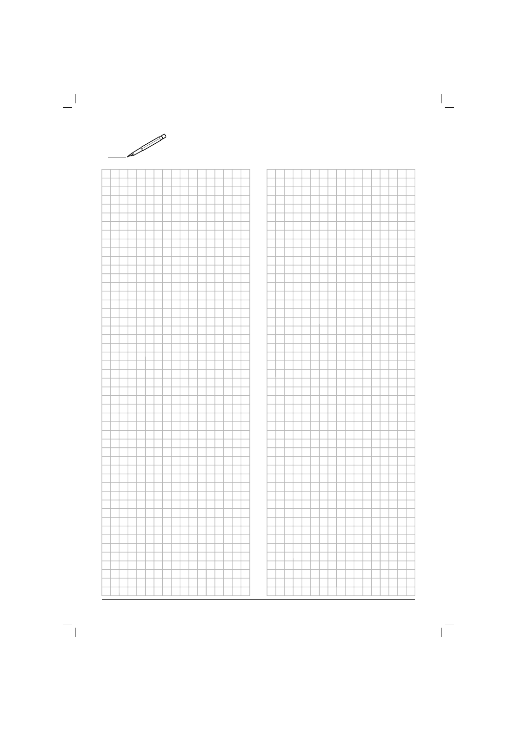